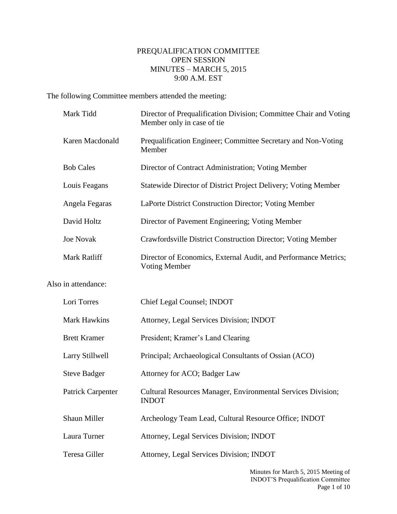## PREQUALIFICATION COMMITTEE OPEN SESSION MINUTES – MARCH 5, 2015 9:00 A.M. EST

The following Committee members attended the meeting:

|                     | Mark Tidd           | Director of Prequalification Division; Committee Chair and Voting<br>Member only in case of tie |
|---------------------|---------------------|-------------------------------------------------------------------------------------------------|
|                     | Karen Macdonald     | Prequalification Engineer; Committee Secretary and Non-Voting<br>Member                         |
| <b>Bob Cales</b>    |                     | Director of Contract Administration; Voting Member                                              |
|                     | Louis Feagans       | Statewide Director of District Project Delivery; Voting Member                                  |
|                     | Angela Fegaras      | LaPorte District Construction Director; Voting Member                                           |
|                     | David Holtz         | Director of Pavement Engineering; Voting Member                                                 |
|                     | <b>Joe Novak</b>    | Crawfordsville District Construction Director; Voting Member                                    |
|                     | <b>Mark Ratliff</b> | Director of Economics, External Audit, and Performance Metrics;<br><b>Voting Member</b>         |
| Also in attendance: |                     |                                                                                                 |
|                     | Lori Torres         | Chief Legal Counsel; INDOT                                                                      |
|                     | Mark Hawkins        | Attorney, Legal Services Division; INDOT                                                        |
|                     | <b>Brett Kramer</b> | President; Kramer's Land Clearing                                                               |
|                     | Larry Stillwell     | Principal; Archaeological Consultants of Ossian (ACO)                                           |
|                     | <b>Steve Badger</b> | Attorney for ACO; Badger Law                                                                    |
|                     | Patrick Carpenter   | Cultural Resources Manager, Environmental Services Division;<br><b>INDOT</b>                    |
|                     | Shaun Miller        | Archeology Team Lead, Cultural Resource Office; INDOT                                           |
|                     | Laura Turner        | Attorney, Legal Services Division; INDOT                                                        |
|                     | Teresa Giller       | Attorney, Legal Services Division; INDOT                                                        |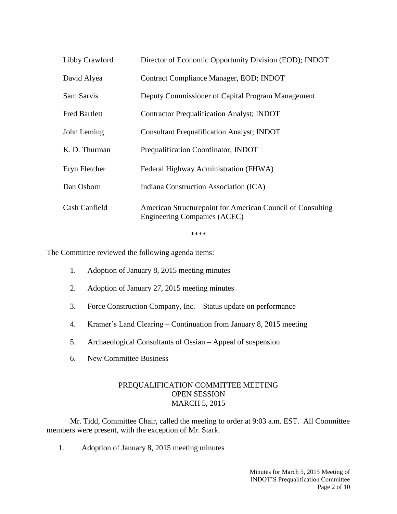| Libby Crawford       | Director of Economic Opportunity Division (EOD); INDOT                                            |
|----------------------|---------------------------------------------------------------------------------------------------|
| David Alyea          | Contract Compliance Manager, EOD; INDOT                                                           |
| Sam Sarvis           | Deputy Commissioner of Capital Program Management                                                 |
| <b>Fred Bartlett</b> | <b>Contractor Prequalification Analyst; INDOT</b>                                                 |
| John Leming          | <b>Consultant Prequalification Analyst; INDOT</b>                                                 |
| K. D. Thurman        | Prequalification Coordinator; INDOT                                                               |
| Eryn Fletcher        | Federal Highway Administration (FHWA)                                                             |
| Dan Osborn           | Indiana Construction Association (ICA)                                                            |
| Cash Canfield        | American Structurepoint for American Council of Consulting<br><b>Engineering Companies (ACEC)</b> |

\*\*\*\*

The Committee reviewed the following agenda items:

- 1. Adoption of January 8, 2015 meeting minutes
- 2. Adoption of January 27, 2015 meeting minutes
- 3. Force Construction Company, Inc. Status update on performance
- 4. Kramer's Land Clearing Continuation from January 8, 2015 meeting
- 5. Archaeological Consultants of Ossian Appeal of suspension
- 6. New Committee Business

## PREQUALIFICATION COMMITTEE MEETING OPEN SESSION MARCH 5, 2015

Mr. Tidd, Committee Chair, called the meeting to order at 9:03 a.m. EST. All Committee members were present, with the exception of Mr. Stark.

1. Adoption of January 8, 2015 meeting minutes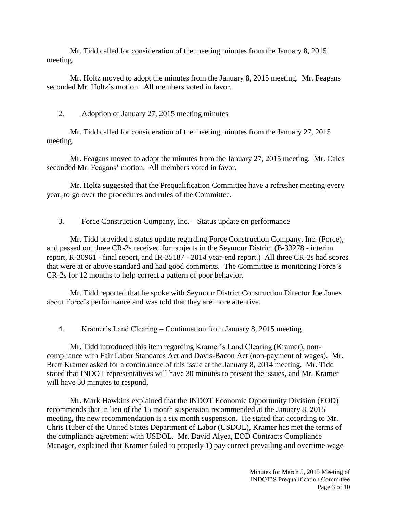Mr. Tidd called for consideration of the meeting minutes from the January 8, 2015 meeting.

Mr. Holtz moved to adopt the minutes from the January 8, 2015 meeting. Mr. Feagans seconded Mr. Holtz's motion. All members voted in favor.

## 2. Adoption of January 27, 2015 meeting minutes

Mr. Tidd called for consideration of the meeting minutes from the January 27, 2015 meeting.

Mr. Feagans moved to adopt the minutes from the January 27, 2015 meeting. Mr. Cales seconded Mr. Feagans' motion. All members voted in favor.

Mr. Holtz suggested that the Prequalification Committee have a refresher meeting every year, to go over the procedures and rules of the Committee.

## 3. Force Construction Company, Inc. – Status update on performance

Mr. Tidd provided a status update regarding Force Construction Company, Inc. (Force), and passed out three CR-2s received for projects in the Seymour District (B-33278 - interim report, R-30961 - final report, and IR-35187 - 2014 year-end report.) All three CR-2s had scores that were at or above standard and had good comments. The Committee is monitoring Force's CR-2s for 12 months to help correct a pattern of poor behavior.

Mr. Tidd reported that he spoke with Seymour District Construction Director Joe Jones about Force's performance and was told that they are more attentive.

4. Kramer's Land Clearing – Continuation from January 8, 2015 meeting

Mr. Tidd introduced this item regarding Kramer's Land Clearing (Kramer), noncompliance with Fair Labor Standards Act and Davis-Bacon Act (non-payment of wages). Mr. Brett Kramer asked for a continuance of this issue at the January 8, 2014 meeting. Mr. Tidd stated that INDOT representatives will have 30 minutes to present the issues, and Mr. Kramer will have 30 minutes to respond.

Mr. Mark Hawkins explained that the INDOT Economic Opportunity Division (EOD) recommends that in lieu of the 15 month suspension recommended at the January 8, 2015 meeting, the new recommendation is a six month suspension. He stated that according to Mr. Chris Huber of the United States Department of Labor (USDOL), Kramer has met the terms of the compliance agreement with USDOL. Mr. David Alyea, EOD Contracts Compliance Manager, explained that Kramer failed to properly 1) pay correct prevailing and overtime wage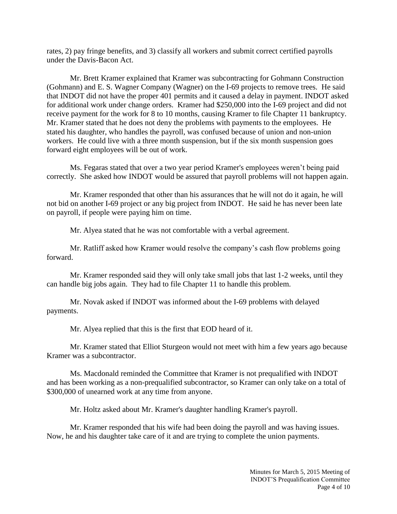rates, 2) pay fringe benefits, and 3) classify all workers and submit correct certified payrolls under the Davis-Bacon Act.

Mr. Brett Kramer explained that Kramer was subcontracting for Gohmann Construction (Gohmann) and E. S. Wagner Company (Wagner) on the I-69 projects to remove trees. He said that INDOT did not have the proper 401 permits and it caused a delay in payment. INDOT asked for additional work under change orders. Kramer had \$250,000 into the I-69 project and did not receive payment for the work for 8 to 10 months, causing Kramer to file Chapter 11 bankruptcy. Mr. Kramer stated that he does not deny the problems with payments to the employees. He stated his daughter, who handles the payroll, was confused because of union and non-union workers. He could live with a three month suspension, but if the six month suspension goes forward eight employees will be out of work.

Ms. Fegaras stated that over a two year period Kramer's employees weren't being paid correctly. She asked how INDOT would be assured that payroll problems will not happen again.

Mr. Kramer responded that other than his assurances that he will not do it again, he will not bid on another I-69 project or any big project from INDOT. He said he has never been late on payroll, if people were paying him on time.

Mr. Alyea stated that he was not comfortable with a verbal agreement.

Mr. Ratliff asked how Kramer would resolve the company's cash flow problems going forward.

Mr. Kramer responded said they will only take small jobs that last 1-2 weeks, until they can handle big jobs again. They had to file Chapter 11 to handle this problem.

Mr. Novak asked if INDOT was informed about the I-69 problems with delayed payments.

Mr. Alyea replied that this is the first that EOD heard of it.

Mr. Kramer stated that Elliot Sturgeon would not meet with him a few years ago because Kramer was a subcontractor.

Ms. Macdonald reminded the Committee that Kramer is not prequalified with INDOT and has been working as a non-prequalified subcontractor, so Kramer can only take on a total of \$300,000 of unearned work at any time from anyone.

Mr. Holtz asked about Mr. Kramer's daughter handling Kramer's payroll.

Mr. Kramer responded that his wife had been doing the payroll and was having issues. Now, he and his daughter take care of it and are trying to complete the union payments.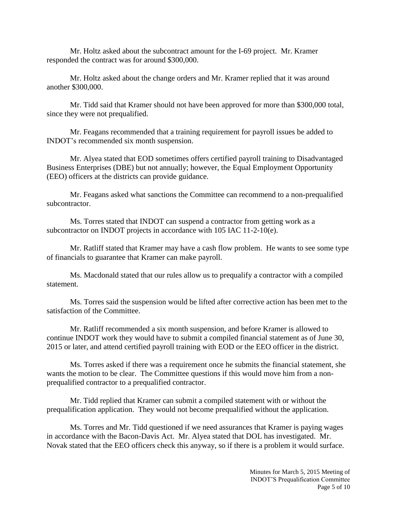Mr. Holtz asked about the subcontract amount for the I-69 project. Mr. Kramer responded the contract was for around \$300,000.

Mr. Holtz asked about the change orders and Mr. Kramer replied that it was around another \$300,000.

Mr. Tidd said that Kramer should not have been approved for more than \$300,000 total, since they were not prequalified.

Mr. Feagans recommended that a training requirement for payroll issues be added to INDOT's recommended six month suspension.

Mr. Alyea stated that EOD sometimes offers certified payroll training to Disadvantaged Business Enterprises (DBE) but not annually; however, the Equal Employment Opportunity (EEO) officers at the districts can provide guidance.

Mr. Feagans asked what sanctions the Committee can recommend to a non-prequalified subcontractor.

Ms. Torres stated that INDOT can suspend a contractor from getting work as a subcontractor on INDOT projects in accordance with 105 IAC 11-2-10(e).

Mr. Ratliff stated that Kramer may have a cash flow problem. He wants to see some type of financials to guarantee that Kramer can make payroll.

Ms. Macdonald stated that our rules allow us to prequalify a contractor with a compiled statement.

Ms. Torres said the suspension would be lifted after corrective action has been met to the satisfaction of the Committee.

Mr. Ratliff recommended a six month suspension, and before Kramer is allowed to continue INDOT work they would have to submit a compiled financial statement as of June 30, 2015 or later, and attend certified payroll training with EOD or the EEO officer in the district.

Ms. Torres asked if there was a requirement once he submits the financial statement, she wants the motion to be clear. The Committee questions if this would move him from a nonprequalified contractor to a prequalified contractor.

Mr. Tidd replied that Kramer can submit a compiled statement with or without the prequalification application. They would not become prequalified without the application.

Ms. Torres and Mr. Tidd questioned if we need assurances that Kramer is paying wages in accordance with the Bacon-Davis Act. Mr. Alyea stated that DOL has investigated. Mr. Novak stated that the EEO officers check this anyway, so if there is a problem it would surface.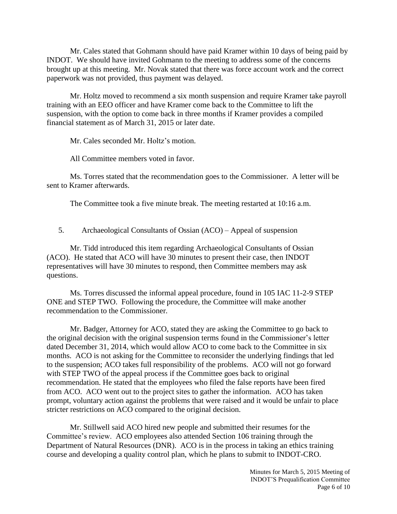Mr. Cales stated that Gohmann should have paid Kramer within 10 days of being paid by INDOT. We should have invited Gohmann to the meeting to address some of the concerns brought up at this meeting. Mr. Novak stated that there was force account work and the correct paperwork was not provided, thus payment was delayed.

Mr. Holtz moved to recommend a six month suspension and require Kramer take payroll training with an EEO officer and have Kramer come back to the Committee to lift the suspension, with the option to come back in three months if Kramer provides a compiled financial statement as of March 31, 2015 or later date.

Mr. Cales seconded Mr. Holtz's motion.

All Committee members voted in favor.

Ms. Torres stated that the recommendation goes to the Commissioner. A letter will be sent to Kramer afterwards.

The Committee took a five minute break. The meeting restarted at 10:16 a.m.

5. Archaeological Consultants of Ossian (ACO) – Appeal of suspension

Mr. Tidd introduced this item regarding Archaeological Consultants of Ossian (ACO). He stated that ACO will have 30 minutes to present their case, then INDOT representatives will have 30 minutes to respond, then Committee members may ask questions.

Ms. Torres discussed the informal appeal procedure, found in 105 IAC 11-2-9 STEP ONE and STEP TWO. Following the procedure, the Committee will make another recommendation to the Commissioner.

Mr. Badger, Attorney for ACO, stated they are asking the Committee to go back to the original decision with the original suspension terms found in the Commissioner's letter dated December 31, 2014, which would allow ACO to come back to the Committee in six months. ACO is not asking for the Committee to reconsider the underlying findings that led to the suspension; ACO takes full responsibility of the problems. ACO will not go forward with STEP TWO of the appeal process if the Committee goes back to original recommendation. He stated that the employees who filed the false reports have been fired from ACO. ACO went out to the project sites to gather the information. ACO has taken prompt, voluntary action against the problems that were raised and it would be unfair to place stricter restrictions on ACO compared to the original decision.

Mr. Stillwell said ACO hired new people and submitted their resumes for the Committee's review. ACO employees also attended Section 106 training through the Department of Natural Resources (DNR). ACO is in the process in taking an ethics training course and developing a quality control plan, which he plans to submit to INDOT-CRO.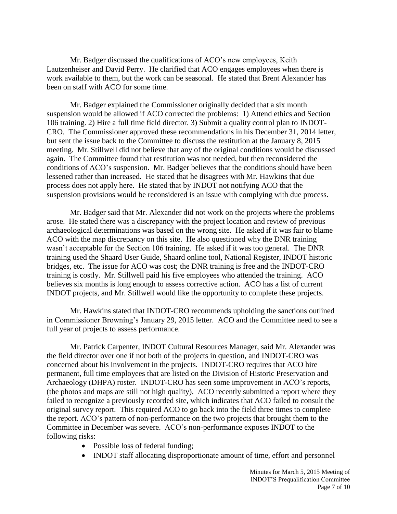Mr. Badger discussed the qualifications of ACO's new employees, Keith Lautzenheiser and David Perry. He clarified that ACO engages employees when there is work available to them, but the work can be seasonal. He stated that Brent Alexander has been on staff with ACO for some time.

Mr. Badger explained the Commissioner originally decided that a six month suspension would be allowed if ACO corrected the problems: 1) Attend ethics and Section 106 training. 2) Hire a full time field director. 3) Submit a quality control plan to INDOT-CRO. The Commissioner approved these recommendations in his December 31, 2014 letter, but sent the issue back to the Committee to discuss the restitution at the January 8, 2015 meeting. Mr. Stillwell did not believe that any of the original conditions would be discussed again. The Committee found that restitution was not needed, but then reconsidered the conditions of ACO's suspension. Mr. Badger believes that the conditions should have been lessened rather than increased. He stated that he disagrees with Mr. Hawkins that due process does not apply here. He stated that by INDOT not notifying ACO that the suspension provisions would be reconsidered is an issue with complying with due process.

Mr. Badger said that Mr. Alexander did not work on the projects where the problems arose. He stated there was a discrepancy with the project location and review of previous archaeological determinations was based on the wrong site. He asked if it was fair to blame ACO with the map discrepancy on this site. He also questioned why the DNR training wasn't acceptable for the Section 106 training. He asked if it was too general. The DNR training used the Shaard User Guide, Shaard online tool, National Register, INDOT historic bridges, etc. The issue for ACO was cost; the DNR training is free and the INDOT-CRO training is costly. Mr. Stillwell paid his five employees who attended the training. ACO believes six months is long enough to assess corrective action. ACO has a list of current INDOT projects, and Mr. Stillwell would like the opportunity to complete these projects.

Mr. Hawkins stated that INDOT-CRO recommends upholding the sanctions outlined in Commissioner Browning's January 29, 2015 letter. ACO and the Committee need to see a full year of projects to assess performance.

Mr. Patrick Carpenter, INDOT Cultural Resources Manager, said Mr. Alexander was the field director over one if not both of the projects in question, and INDOT-CRO was concerned about his involvement in the projects. INDOT-CRO requires that ACO hire permanent, full time employees that are listed on the Division of Historic Preservation and Archaeology (DHPA) roster. INDOT-CRO has seen some improvement in ACO's reports, (the photos and maps are still not high quality). ACO recently submitted a report where they failed to recognize a previously recorded site, which indicates that ACO failed to consult the original survey report. This required ACO to go back into the field three times to complete the report. ACO's pattern of non-performance on the two projects that brought them to the Committee in December was severe. ACO's non-performance exposes INDOT to the following risks:

- Possible loss of federal funding;
- INDOT staff allocating disproportionate amount of time, effort and personnel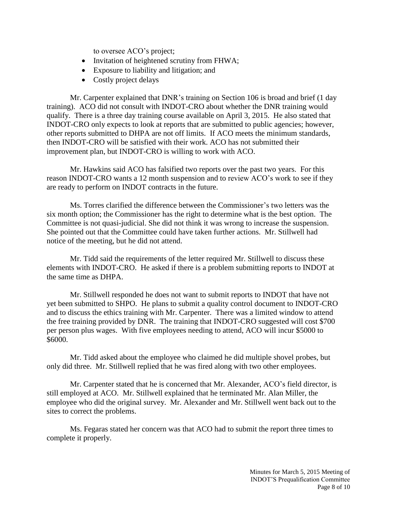to oversee ACO's project;

- Invitation of heightened scrutiny from FHWA;
- Exposure to liability and litigation; and
- Costly project delays

Mr. Carpenter explained that DNR's training on Section 106 is broad and brief (1 day training). ACO did not consult with INDOT-CRO about whether the DNR training would qualify. There is a three day training course available on April 3, 2015. He also stated that INDOT-CRO only expects to look at reports that are submitted to public agencies; however, other reports submitted to DHPA are not off limits. If ACO meets the minimum standards, then INDOT-CRO will be satisfied with their work. ACO has not submitted their improvement plan, but INDOT-CRO is willing to work with ACO.

Mr. Hawkins said ACO has falsified two reports over the past two years. For this reason INDOT-CRO wants a 12 month suspension and to review ACO's work to see if they are ready to perform on INDOT contracts in the future.

Ms. Torres clarified the difference between the Commissioner's two letters was the six month option; the Commissioner has the right to determine what is the best option. The Committee is not quasi-judicial. She did not think it was wrong to increase the suspension. She pointed out that the Committee could have taken further actions. Mr. Stillwell had notice of the meeting, but he did not attend.

Mr. Tidd said the requirements of the letter required Mr. Stillwell to discuss these elements with INDOT-CRO. He asked if there is a problem submitting reports to INDOT at the same time as DHPA.

Mr. Stillwell responded he does not want to submit reports to INDOT that have not yet been submitted to SHPO. He plans to submit a quality control document to INDOT-CRO and to discuss the ethics training with Mr. Carpenter. There was a limited window to attend the free training provided by DNR. The training that INDOT-CRO suggested will cost \$700 per person plus wages. With five employees needing to attend, ACO will incur \$5000 to \$6000.

Mr. Tidd asked about the employee who claimed he did multiple shovel probes, but only did three. Mr. Stillwell replied that he was fired along with two other employees.

Mr. Carpenter stated that he is concerned that Mr. Alexander, ACO's field director, is still employed at ACO. Mr. Stillwell explained that he terminated Mr. Alan Miller, the employee who did the original survey. Mr. Alexander and Mr. Stillwell went back out to the sites to correct the problems.

Ms. Fegaras stated her concern was that ACO had to submit the report three times to complete it properly.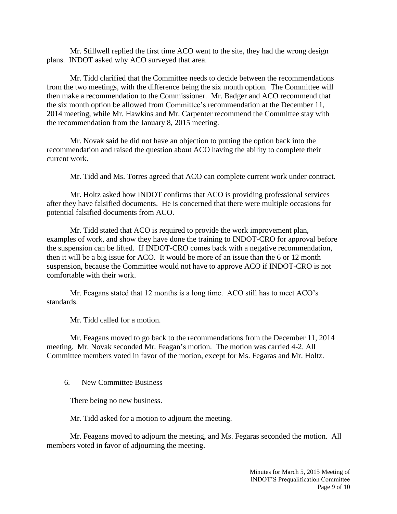Mr. Stillwell replied the first time ACO went to the site, they had the wrong design plans. INDOT asked why ACO surveyed that area.

Mr. Tidd clarified that the Committee needs to decide between the recommendations from the two meetings, with the difference being the six month option. The Committee will then make a recommendation to the Commissioner. Mr. Badger and ACO recommend that the six month option be allowed from Committee's recommendation at the December 11, 2014 meeting, while Mr. Hawkins and Mr. Carpenter recommend the Committee stay with the recommendation from the January 8, 2015 meeting.

Mr. Novak said he did not have an objection to putting the option back into the recommendation and raised the question about ACO having the ability to complete their current work.

Mr. Tidd and Ms. Torres agreed that ACO can complete current work under contract.

Mr. Holtz asked how INDOT confirms that ACO is providing professional services after they have falsified documents. He is concerned that there were multiple occasions for potential falsified documents from ACO.

Mr. Tidd stated that ACO is required to provide the work improvement plan, examples of work, and show they have done the training to INDOT-CRO for approval before the suspension can be lifted. If INDOT-CRO comes back with a negative recommendation, then it will be a big issue for ACO. It would be more of an issue than the 6 or 12 month suspension, because the Committee would not have to approve ACO if INDOT-CRO is not comfortable with their work.

Mr. Feagans stated that 12 months is a long time. ACO still has to meet ACO's standards.

Mr. Tidd called for a motion.

Mr. Feagans moved to go back to the recommendations from the December 11, 2014 meeting. Mr. Novak seconded Mr. Feagan's motion. The motion was carried 4-2. All Committee members voted in favor of the motion, except for Ms. Fegaras and Mr. Holtz.

6. New Committee Business

There being no new business.

Mr. Tidd asked for a motion to adjourn the meeting.

Mr. Feagans moved to adjourn the meeting, and Ms. Fegaras seconded the motion. All members voted in favor of adjourning the meeting.